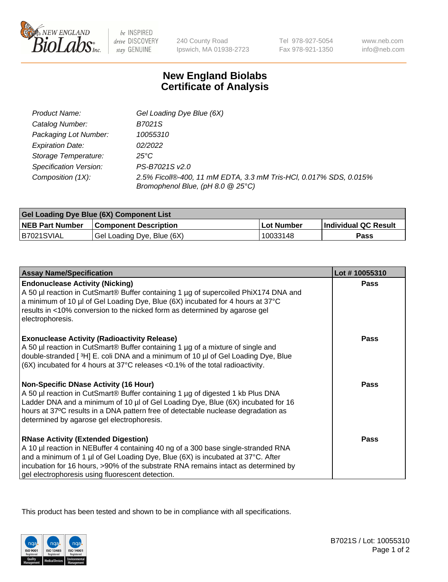

 $be$  INSPIRED drive DISCOVERY stay GENUINE

240 County Road Ipswich, MA 01938-2723 Tel 978-927-5054 Fax 978-921-1350 www.neb.com info@neb.com

## **New England Biolabs Certificate of Analysis**

| Product Name:           | Gel Loading Dye Blue (6X)                                                                              |
|-------------------------|--------------------------------------------------------------------------------------------------------|
| Catalog Number:         | B7021S                                                                                                 |
| Packaging Lot Number:   | 10055310                                                                                               |
| <b>Expiration Date:</b> | 02/2022                                                                                                |
| Storage Temperature:    | 25°C                                                                                                   |
| Specification Version:  | PS-B7021S v2.0                                                                                         |
| Composition (1X):       | 2.5% Ficoll®-400, 11 mM EDTA, 3.3 mM Tris-HCl, 0.017% SDS, 0.015%<br>Bromophenol Blue, (pH 8.0 @ 25°C) |

| <b>Gel Loading Dye Blue (6X) Component List</b> |                              |                   |                      |  |
|-------------------------------------------------|------------------------------|-------------------|----------------------|--|
| <b>NEB Part Number</b>                          | <b>Component Description</b> | <b>Lot Number</b> | Individual QC Result |  |
| B7021SVIAL                                      | Gel Loading Dye, Blue (6X)   | 10033148          | Pass                 |  |

| <b>Assay Name/Specification</b>                                                                                                                                                                                                                                                                                                                              | Lot #10055310 |
|--------------------------------------------------------------------------------------------------------------------------------------------------------------------------------------------------------------------------------------------------------------------------------------------------------------------------------------------------------------|---------------|
| <b>Endonuclease Activity (Nicking)</b><br>A 50 µl reaction in CutSmart® Buffer containing 1 µg of supercoiled PhiX174 DNA and<br>a minimum of 10 µl of Gel Loading Dye, Blue (6X) incubated for 4 hours at 37°C<br>results in <10% conversion to the nicked form as determined by agarose gel<br>electrophoresis.                                            | <b>Pass</b>   |
| <b>Exonuclease Activity (Radioactivity Release)</b><br>A 50 µl reaction in CutSmart® Buffer containing 1 µg of a mixture of single and<br>double-stranded [3H] E. coli DNA and a minimum of 10 µl of Gel Loading Dye, Blue<br>$(6X)$ incubated for 4 hours at 37 $^{\circ}$ C releases <0.1% of the total radioactivity.                                     | <b>Pass</b>   |
| <b>Non-Specific DNase Activity (16 Hour)</b><br>A 50 µl reaction in CutSmart® Buffer containing 1 µg of digested 1 kb Plus DNA<br>Ladder DNA and a minimum of 10 µl of Gel Loading Dye, Blue (6X) incubated for 16<br>hours at 37°C results in a DNA pattern free of detectable nuclease degradation as<br>determined by agarose gel electrophoresis.        | <b>Pass</b>   |
| <b>RNase Activity (Extended Digestion)</b><br>A 10 µl reaction in NEBuffer 4 containing 40 ng of a 300 base single-stranded RNA<br>and a minimum of 1 µl of Gel Loading Dye, Blue (6X) is incubated at 37°C. After<br>incubation for 16 hours, >90% of the substrate RNA remains intact as determined by<br>gel electrophoresis using fluorescent detection. | <b>Pass</b>   |

This product has been tested and shown to be in compliance with all specifications.